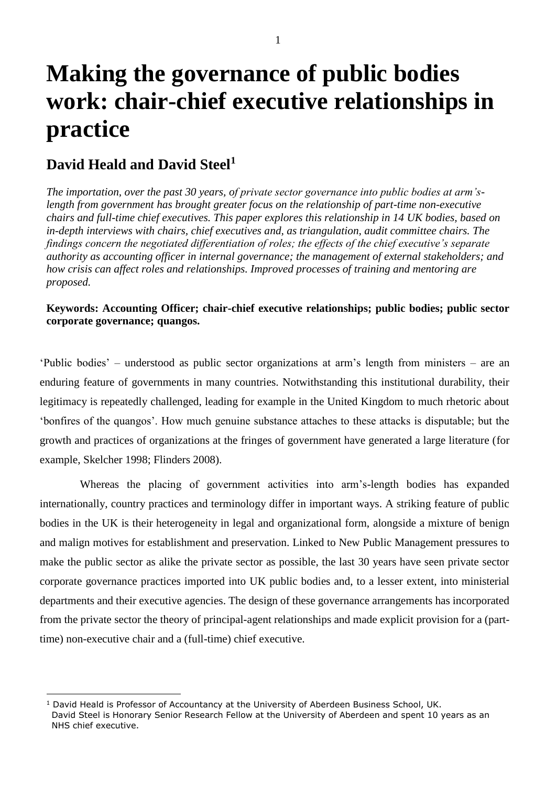# **Making the governance of public bodies work: chair-chief executive relationships in practice**

# **David Heald and David Steel<sup>1</sup>**

 $\overline{a}$ 

*The importation, over the past 30 years, of private sector governance into public bodies at arm'slength from government has brought greater focus on the relationship of part-time non-executive chairs and full-time chief executives. This paper explores this relationship in 14 UK bodies, based on in-depth interviews with chairs, chief executives and, as triangulation, audit committee chairs. The findings concern the negotiated differentiation of roles; the effects of the chief executive's separate authority as accounting officer in internal governance; the management of external stakeholders; and how crisis can affect roles and relationships. Improved processes of training and mentoring are proposed.*

## **Keywords: Accounting Officer; chair-chief executive relationships; public bodies; public sector corporate governance; quangos.**

'Public bodies' – understood as public sector organizations at arm's length from ministers – are an enduring feature of governments in many countries. Notwithstanding this institutional durability, their legitimacy is repeatedly challenged, leading for example in the United Kingdom to much rhetoric about 'bonfires of the quangos'. How much genuine substance attaches to these attacks is disputable; but the growth and practices of organizations at the fringes of government have generated a large literature (for example, Skelcher 1998; Flinders 2008).

Whereas the placing of government activities into arm's-length bodies has expanded internationally, country practices and terminology differ in important ways. A striking feature of public bodies in the UK is their heterogeneity in legal and organizational form, alongside a mixture of benign and malign motives for establishment and preservation. Linked to New Public Management pressures to make the public sector as alike the private sector as possible, the last 30 years have seen private sector corporate governance practices imported into UK public bodies and, to a lesser extent, into ministerial departments and their executive agencies. The design of these governance arrangements has incorporated from the private sector the theory of principal-agent relationships and made explicit provision for a (parttime) non-executive chair and a (full-time) chief executive.

<sup>&</sup>lt;sup>1</sup> David Heald is Professor of Accountancy at the University of Aberdeen Business School, UK. David Steel is Honorary Senior Research Fellow at the University of Aberdeen and spent 10 years as an NHS chief executive.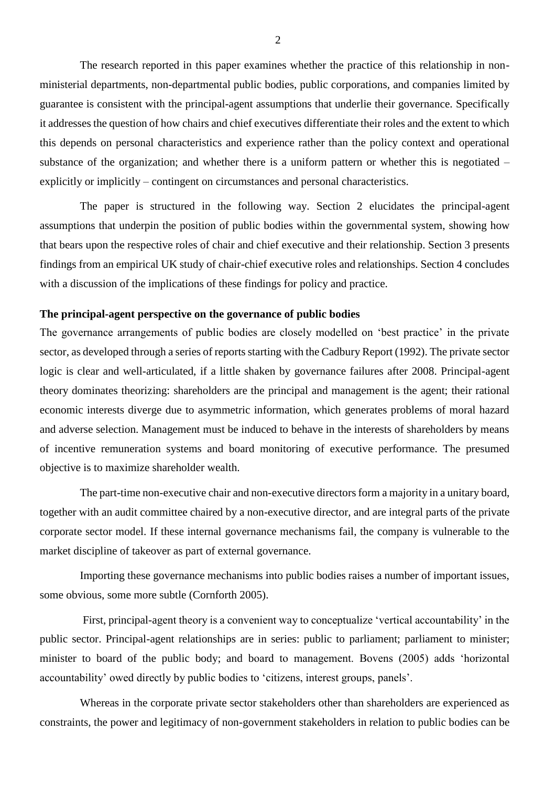The research reported in this paper examines whether the practice of this relationship in nonministerial departments, non-departmental public bodies, public corporations, and companies limited by guarantee is consistent with the principal-agent assumptions that underlie their governance. Specifically it addresses the question of how chairs and chief executives differentiate their roles and the extent to which this depends on personal characteristics and experience rather than the policy context and operational substance of the organization; and whether there is a uniform pattern or whether this is negotiated – explicitly or implicitly – contingent on circumstances and personal characteristics.

The paper is structured in the following way. Section 2 elucidates the principal-agent assumptions that underpin the position of public bodies within the governmental system, showing how that bears upon the respective roles of chair and chief executive and their relationship. Section 3 presents findings from an empirical UK study of chair-chief executive roles and relationships. Section 4 concludes with a discussion of the implications of these findings for policy and practice.

#### **The principal-agent perspective on the governance of public bodies**

The governance arrangements of public bodies are closely modelled on 'best practice' in the private sector, as developed through a series of reports starting with the Cadbury Report (1992). The private sector logic is clear and well-articulated, if a little shaken by governance failures after 2008. Principal-agent theory dominates theorizing: shareholders are the principal and management is the agent; their rational economic interests diverge due to asymmetric information, which generates problems of moral hazard and adverse selection. Management must be induced to behave in the interests of shareholders by means of incentive remuneration systems and board monitoring of executive performance. The presumed objective is to maximize shareholder wealth.

The part-time non-executive chair and non-executive directors form a majority in a unitary board, together with an audit committee chaired by a non-executive director, and are integral parts of the private corporate sector model. If these internal governance mechanisms fail, the company is vulnerable to the market discipline of takeover as part of external governance.

Importing these governance mechanisms into public bodies raises a number of important issues, some obvious, some more subtle (Cornforth 2005).

First, principal-agent theory is a convenient way to conceptualize 'vertical accountability' in the public sector. Principal-agent relationships are in series: public to parliament; parliament to minister; minister to board of the public body; and board to management. Bovens (2005) adds 'horizontal accountability' owed directly by public bodies to 'citizens, interest groups, panels'.

Whereas in the corporate private sector stakeholders other than shareholders are experienced as constraints, the power and legitimacy of non-government stakeholders in relation to public bodies can be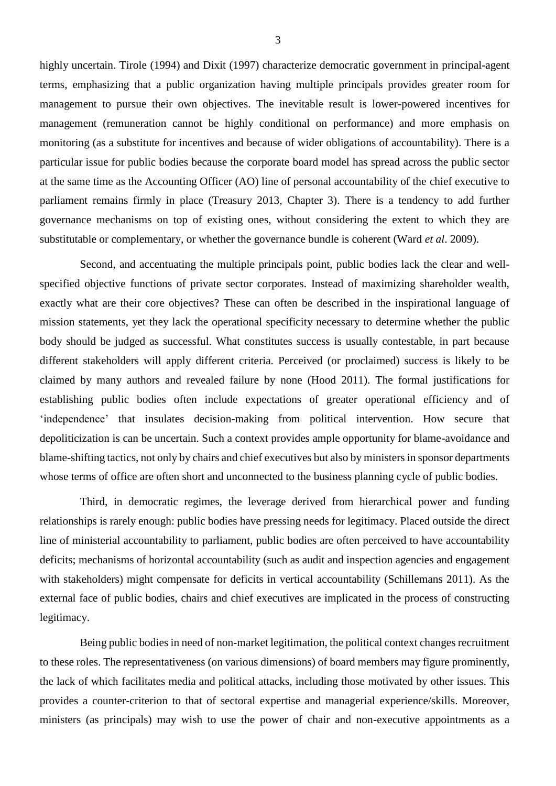highly uncertain. Tirole (1994) and Dixit (1997) characterize democratic government in principal-agent terms, emphasizing that a public organization having multiple principals provides greater room for management to pursue their own objectives. The inevitable result is lower-powered incentives for management (remuneration cannot be highly conditional on performance) and more emphasis on monitoring (as a substitute for incentives and because of wider obligations of accountability). There is a particular issue for public bodies because the corporate board model has spread across the public sector at the same time as the Accounting Officer (AO) line of personal accountability of the chief executive to parliament remains firmly in place (Treasury 2013, Chapter 3). There is a tendency to add further governance mechanisms on top of existing ones, without considering the extent to which they are substitutable or complementary, or whether the governance bundle is coherent (Ward *et al*. 2009).

Second, and accentuating the multiple principals point, public bodies lack the clear and wellspecified objective functions of private sector corporates. Instead of maximizing shareholder wealth, exactly what are their core objectives? These can often be described in the inspirational language of mission statements, yet they lack the operational specificity necessary to determine whether the public body should be judged as successful. What constitutes success is usually contestable, in part because different stakeholders will apply different criteria. Perceived (or proclaimed) success is likely to be claimed by many authors and revealed failure by none (Hood 2011). The formal justifications for establishing public bodies often include expectations of greater operational efficiency and of 'independence' that insulates decision-making from political intervention. How secure that depoliticization is can be uncertain. Such a context provides ample opportunity for blame-avoidance and blame-shifting tactics, not only by chairs and chief executives but also by ministers in sponsor departments whose terms of office are often short and unconnected to the business planning cycle of public bodies.

Third, in democratic regimes, the leverage derived from hierarchical power and funding relationships is rarely enough: public bodies have pressing needs for legitimacy. Placed outside the direct line of ministerial accountability to parliament, public bodies are often perceived to have accountability deficits; mechanisms of horizontal accountability (such as audit and inspection agencies and engagement with stakeholders) might compensate for deficits in vertical accountability (Schillemans 2011). As the external face of public bodies, chairs and chief executives are implicated in the process of constructing legitimacy.

Being public bodies in need of non-market legitimation, the political context changes recruitment to these roles. The representativeness (on various dimensions) of board members may figure prominently, the lack of which facilitates media and political attacks, including those motivated by other issues. This provides a counter-criterion to that of sectoral expertise and managerial experience/skills. Moreover, ministers (as principals) may wish to use the power of chair and non-executive appointments as a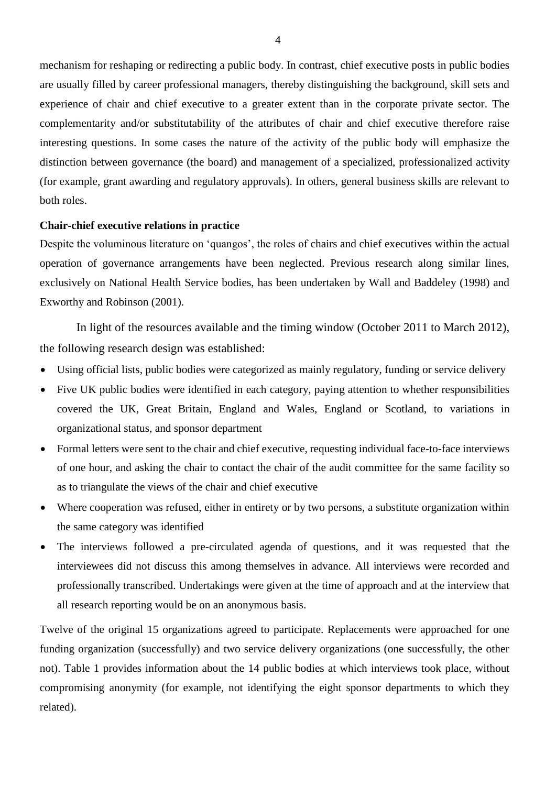mechanism for reshaping or redirecting a public body. In contrast, chief executive posts in public bodies are usually filled by career professional managers, thereby distinguishing the background, skill sets and experience of chair and chief executive to a greater extent than in the corporate private sector. The complementarity and/or substitutability of the attributes of chair and chief executive therefore raise interesting questions. In some cases the nature of the activity of the public body will emphasize the distinction between governance (the board) and management of a specialized, professionalized activity (for example, grant awarding and regulatory approvals). In others, general business skills are relevant to both roles.

#### **Chair-chief executive relations in practice**

Despite the voluminous literature on 'quangos', the roles of chairs and chief executives within the actual operation of governance arrangements have been neglected. Previous research along similar lines, exclusively on National Health Service bodies, has been undertaken by Wall and Baddeley (1998) and Exworthy and Robinson (2001).

In light of the resources available and the timing window (October 2011 to March 2012), the following research design was established:

- Using official lists, public bodies were categorized as mainly regulatory, funding or service delivery
- Five UK public bodies were identified in each category, paying attention to whether responsibilities covered the UK, Great Britain, England and Wales, England or Scotland, to variations in organizational status, and sponsor department
- Formal letters were sent to the chair and chief executive, requesting individual face-to-face interviews of one hour, and asking the chair to contact the chair of the audit committee for the same facility so as to triangulate the views of the chair and chief executive
- Where cooperation was refused, either in entirety or by two persons, a substitute organization within the same category was identified
- The interviews followed a pre-circulated agenda of questions, and it was requested that the interviewees did not discuss this among themselves in advance. All interviews were recorded and professionally transcribed. Undertakings were given at the time of approach and at the interview that all research reporting would be on an anonymous basis.

Twelve of the original 15 organizations agreed to participate. Replacements were approached for one funding organization (successfully) and two service delivery organizations (one successfully, the other not). Table 1 provides information about the 14 public bodies at which interviews took place, without compromising anonymity (for example, not identifying the eight sponsor departments to which they related).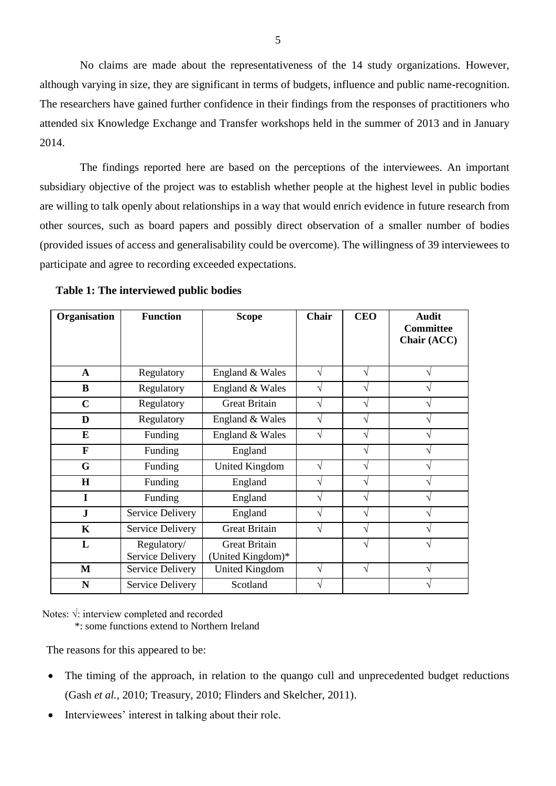No claims are made about the representativeness of the 14 study organizations. However, although varying in size, they are significant in terms of budgets, influence and public name-recognition. The researchers have gained further confidence in their findings from the responses of practitioners who attended six Knowledge Exchange and Transfer workshops held in the summer of 2013 and in January 2014.

The findings reported here are based on the perceptions of the interviewees. An important subsidiary objective of the project was to establish whether people at the highest level in public bodies are willing to talk openly about relationships in a way that would enrich evidence in future research from other sources, such as board papers and possibly direct observation of a smaller number of bodies (provided issues of access and generalisability could be overcome). The willingness of 39 interviewees to participate and agree to recording exceeded expectations.

| Organisation | <b>Function</b>                        | <b>Scope</b>                              | Chair | <b>CEO</b> | <b>Audit</b><br><b>Committee</b><br>Chair (ACC) |
|--------------|----------------------------------------|-------------------------------------------|-------|------------|-------------------------------------------------|
|              |                                        |                                           |       |            |                                                 |
| $\mathbf{A}$ | Regulatory                             | England & Wales                           | V     | V          |                                                 |
| B            | Regulatory                             | England & Wales                           |       | V          |                                                 |
| $\mathbf C$  | Regulatory                             | <b>Great Britain</b>                      | V     | V          |                                                 |
| D            | Regulatory                             | England & Wales                           |       | V          |                                                 |
| E            | Funding                                | England & Wales                           |       | ٦          |                                                 |
| F            | Funding                                | England                                   |       | V          |                                                 |
| G            | Funding                                | United Kingdom                            | V     | V          |                                                 |
| H            | Funding                                | England                                   | V     | V          |                                                 |
| I            | Funding                                | England                                   | V     | ٦          |                                                 |
| $\mathbf{J}$ | <b>Service Delivery</b>                | England                                   | V     | V          |                                                 |
| $\mathbf K$  | Service Delivery                       | <b>Great Britain</b>                      | V     | V          |                                                 |
| L            | Regulatory/<br><b>Service Delivery</b> | <b>Great Britain</b><br>(United Kingdom)* |       | ٦          |                                                 |
| $\mathbf{M}$ | Service Delivery                       | <b>United Kingdom</b>                     | V     | V          |                                                 |
| N            | Service Delivery                       | Scotland                                  |       |            |                                                 |

**Table 1: The interviewed public bodies**

Notes: √: interview completed and recorded

\*: some functions extend to Northern Ireland

The reasons for this appeared to be:

- The timing of the approach, in relation to the quango cull and unprecedented budget reductions (Gash *et al.,* 2010; Treasury, 2010; Flinders and Skelcher, 2011).
- Interviewees' interest in talking about their role.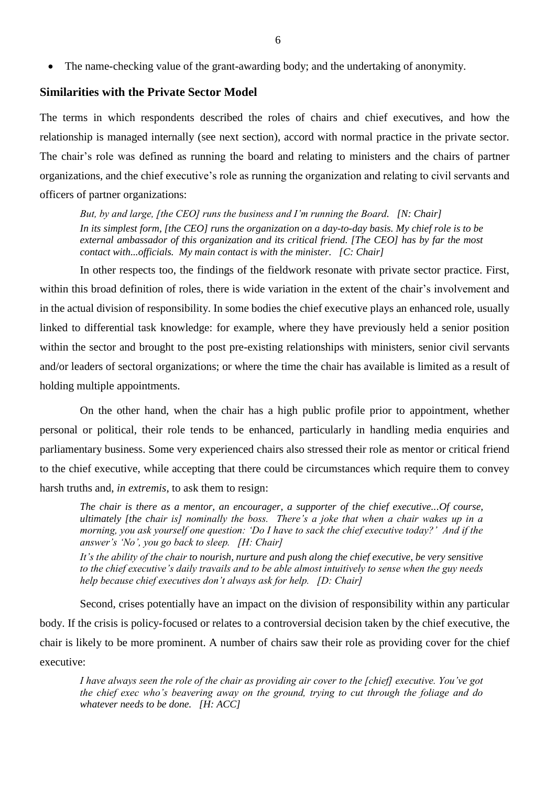The name-checking value of the grant-awarding body; and the undertaking of anonymity.

#### **Similarities with the Private Sector Model**

The terms in which respondents described the roles of chairs and chief executives, and how the relationship is managed internally (see next section), accord with normal practice in the private sector. The chair's role was defined as running the board and relating to ministers and the chairs of partner organizations, and the chief executive's role as running the organization and relating to civil servants and officers of partner organizations:

*But, by and large, [the CEO] runs the business and I'm running the Board. [N: Chair] In its simplest form, [the CEO] runs the organization on a day-to-day basis. My chief role is to be external ambassador of this organization and its critical friend. [The CEO] has by far the most contact with...officials. My main contact is with the minister. [C: Chair]*

In other respects too, the findings of the fieldwork resonate with private sector practice. First, within this broad definition of roles, there is wide variation in the extent of the chair's involvement and in the actual division of responsibility. In some bodies the chief executive plays an enhanced role, usually linked to differential task knowledge: for example, where they have previously held a senior position within the sector and brought to the post pre-existing relationships with ministers, senior civil servants and/or leaders of sectoral organizations; or where the time the chair has available is limited as a result of holding multiple appointments.

On the other hand, when the chair has a high public profile prior to appointment, whether personal or political, their role tends to be enhanced, particularly in handling media enquiries and parliamentary business. Some very experienced chairs also stressed their role as mentor or critical friend to the chief executive, while accepting that there could be circumstances which require them to convey harsh truths and, *in extremis*, to ask them to resign:

*The chair is there as a mentor, an encourager, a supporter of the chief executive...Of course, ultimately [the chair is] nominally the boss. There's a joke that when a chair wakes up in a morning, you ask yourself one question: 'Do I have to sack the chief executive today?' And if the answer's 'No', you go back to sleep. [H: Chair]*

*It's the ability of the chair to nourish, nurture and push along the chief executive, be very sensitive to the chief executive's daily travails and to be able almost intuitively to sense when the guy needs help because chief executives don't always ask for help. [D: Chair]*

Second, crises potentially have an impact on the division of responsibility within any particular body. If the crisis is policy-focused or relates to a controversial decision taken by the chief executive, the chair is likely to be more prominent. A number of chairs saw their role as providing cover for the chief executive:

*I have always seen the role of the chair as providing air cover to the [chief] executive. You've got the chief exec who's beavering away on the ground, trying to cut through the foliage and do whatever needs to be done. [H: ACC]*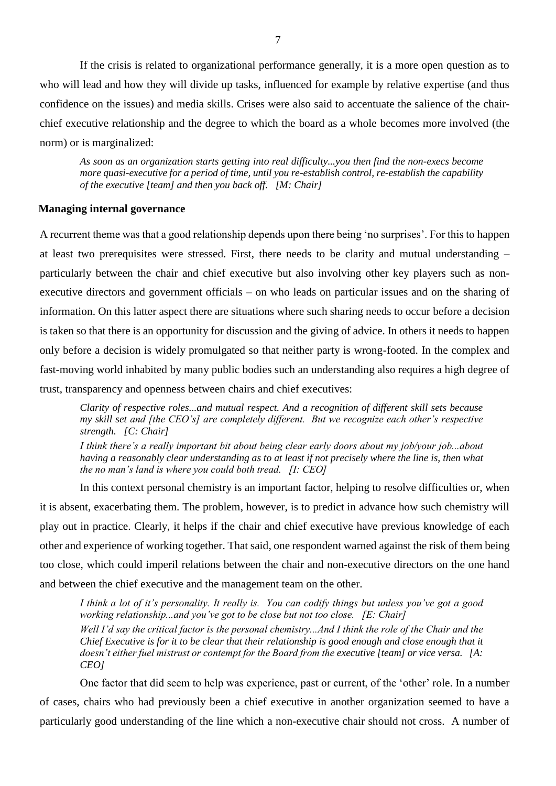If the crisis is related to organizational performance generally, it is a more open question as to who will lead and how they will divide up tasks, influenced for example by relative expertise (and thus confidence on the issues) and media skills. Crises were also said to accentuate the salience of the chairchief executive relationship and the degree to which the board as a whole becomes more involved (the norm) or is marginalized:

*As soon as an organization starts getting into real difficulty...you then find the non-execs become more quasi-executive for a period of time, until you re-establish control, re-establish the capability of the executive [team] and then you back off. [M: Chair]*

#### **Managing internal governance**

A recurrent theme was that a good relationship depends upon there being 'no surprises'. For this to happen at least two prerequisites were stressed. First, there needs to be clarity and mutual understanding – particularly between the chair and chief executive but also involving other key players such as nonexecutive directors and government officials – on who leads on particular issues and on the sharing of information. On this latter aspect there are situations where such sharing needs to occur before a decision is taken so that there is an opportunity for discussion and the giving of advice. In others it needs to happen only before a decision is widely promulgated so that neither party is wrong-footed. In the complex and fast-moving world inhabited by many public bodies such an understanding also requires a high degree of trust, transparency and openness between chairs and chief executives:

*Clarity of respective roles...and mutual respect. And a recognition of different skill sets because my skill set and [the CEO's] are completely different. But we recognize each other's respective strength. [C: Chair]*

*I think there's a really important bit about being clear early doors about my job/your job...about having a reasonably clear understanding as to at least if not precisely where the line is, then what the no man's land is where you could both tread. [I: CEO]*

In this context personal chemistry is an important factor, helping to resolve difficulties or, when it is absent, exacerbating them. The problem, however, is to predict in advance how such chemistry will play out in practice. Clearly, it helps if the chair and chief executive have previous knowledge of each other and experience of working together. That said, one respondent warned against the risk of them being too close, which could imperil relations between the chair and non-executive directors on the one hand and between the chief executive and the management team on the other.

*I think a lot of it's personality. It really is. You can codify things but unless you've got a good working relationship...and you've got to be close but not too close. [E: Chair] Well I'd say the critical factor is the personal chemistry...And I think the role of the Chair and the Chief Executive is for it to be clear that their relationship is good enough and close enough that it doesn't either fuel mistrust or contempt for the Board from the executive [team] or vice versa. [A: CEO]*

One factor that did seem to help was experience, past or current, of the 'other' role. In a number of cases, chairs who had previously been a chief executive in another organization seemed to have a particularly good understanding of the line which a non-executive chair should not cross. A number of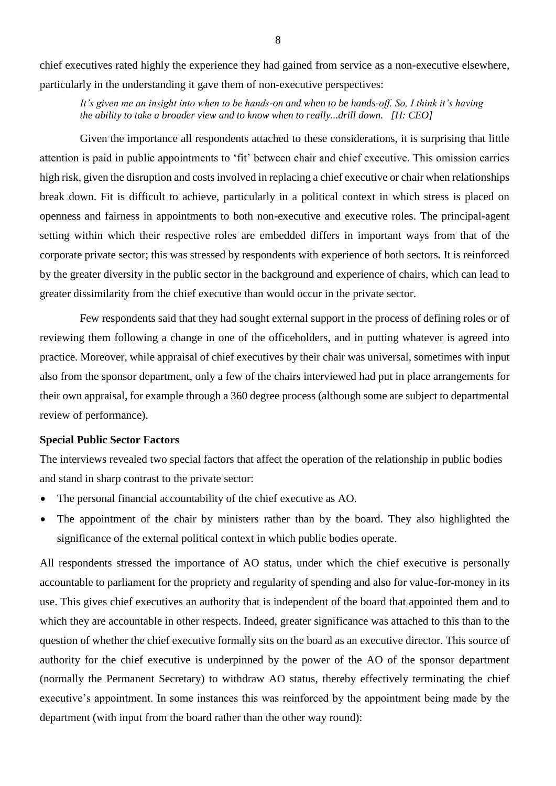chief executives rated highly the experience they had gained from service as a non-executive elsewhere, particularly in the understanding it gave them of non-executive perspectives:

*It's given me an insight into when to be hands-on and when to be hands-off. So, I think it's having the ability to take a broader view and to know when to really...drill down. [H: CEO]*

Given the importance all respondents attached to these considerations, it is surprising that little attention is paid in public appointments to 'fit' between chair and chief executive. This omission carries high risk, given the disruption and costs involved in replacing a chief executive or chair when relationships break down. Fit is difficult to achieve, particularly in a political context in which stress is placed on openness and fairness in appointments to both non-executive and executive roles. The principal-agent setting within which their respective roles are embedded differs in important ways from that of the corporate private sector; this was stressed by respondents with experience of both sectors. It is reinforced by the greater diversity in the public sector in the background and experience of chairs, which can lead to greater dissimilarity from the chief executive than would occur in the private sector.

Few respondents said that they had sought external support in the process of defining roles or of reviewing them following a change in one of the officeholders, and in putting whatever is agreed into practice. Moreover, while appraisal of chief executives by their chair was universal, sometimes with input also from the sponsor department, only a few of the chairs interviewed had put in place arrangements for their own appraisal, for example through a 360 degree process (although some are subject to departmental review of performance).

#### **Special Public Sector Factors**

The interviews revealed two special factors that affect the operation of the relationship in public bodies and stand in sharp contrast to the private sector:

- The personal financial accountability of the chief executive as AO.
- The appointment of the chair by ministers rather than by the board. They also highlighted the significance of the external political context in which public bodies operate.

All respondents stressed the importance of AO status, under which the chief executive is personally accountable to parliament for the propriety and regularity of spending and also for value-for-money in its use. This gives chief executives an authority that is independent of the board that appointed them and to which they are accountable in other respects. Indeed, greater significance was attached to this than to the question of whether the chief executive formally sits on the board as an executive director. This source of authority for the chief executive is underpinned by the power of the AO of the sponsor department (normally the Permanent Secretary) to withdraw AO status, thereby effectively terminating the chief executive's appointment. In some instances this was reinforced by the appointment being made by the department (with input from the board rather than the other way round):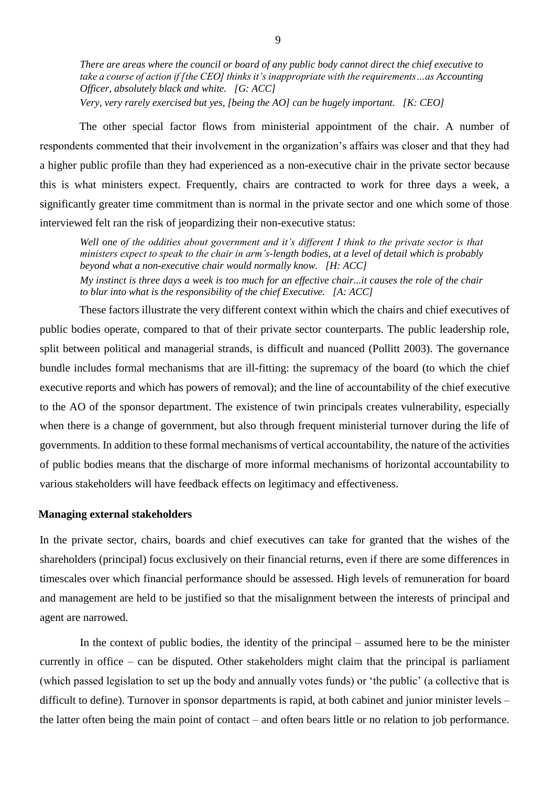*There are areas where the council or board of any public body cannot direct the chief executive to take a course of action if [the CEO] thinks it's inappropriate with the requirements…as Accounting Officer, absolutely black and white. [G: ACC]*

*Very, very rarely exercised but yes, [being the AO] can be hugely important. [K: CEO]*

The other special factor flows from ministerial appointment of the chair. A number of respondents commented that their involvement in the organization's affairs was closer and that they had a higher public profile than they had experienced as a non-executive chair in the private sector because this is what ministers expect. Frequently, chairs are contracted to work for three days a week, a significantly greater time commitment than is normal in the private sector and one which some of those interviewed felt ran the risk of jeopardizing their non-executive status:

*Well one of the oddities about government and it's different I think to the private sector is that ministers expect to speak to the chair in arm's-length bodies, at a level of detail which is probably beyond what a non-executive chair would normally know. [H: ACC] My instinct is three days a week is too much for an effective chair...it causes the role of the chair to blur into what is the responsibility of the chief Executive. [A: ACC]*

These factors illustrate the very different context within which the chairs and chief executives of public bodies operate, compared to that of their private sector counterparts. The public leadership role, split between political and managerial strands, is difficult and nuanced (Pollitt 2003). The governance bundle includes formal mechanisms that are ill-fitting: the supremacy of the board (to which the chief executive reports and which has powers of removal); and the line of accountability of the chief executive to the AO of the sponsor department. The existence of twin principals creates vulnerability, especially when there is a change of government, but also through frequent ministerial turnover during the life of governments. In addition to these formal mechanisms of vertical accountability, the nature of the activities of public bodies means that the discharge of more informal mechanisms of horizontal accountability to various stakeholders will have feedback effects on legitimacy and effectiveness.

#### **Managing external stakeholders**

In the private sector, chairs, boards and chief executives can take for granted that the wishes of the shareholders (principal) focus exclusively on their financial returns, even if there are some differences in timescales over which financial performance should be assessed. High levels of remuneration for board and management are held to be justified so that the misalignment between the interests of principal and agent are narrowed.

In the context of public bodies, the identity of the principal – assumed here to be the minister currently in office – can be disputed. Other stakeholders might claim that the principal is parliament (which passed legislation to set up the body and annually votes funds) or 'the public' (a collective that is difficult to define). Turnover in sponsor departments is rapid, at both cabinet and junior minister levels – the latter often being the main point of contact – and often bears little or no relation to job performance.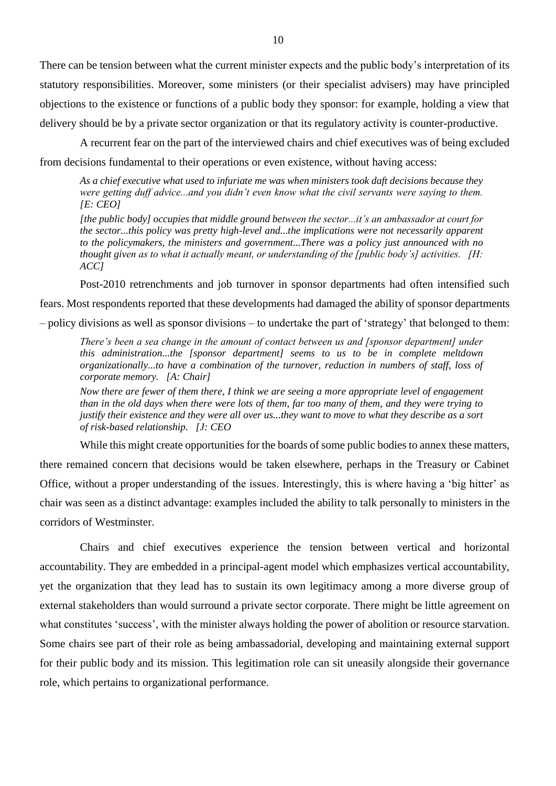There can be tension between what the current minister expects and the public body's interpretation of its statutory responsibilities. Moreover, some ministers (or their specialist advisers) may have principled objections to the existence or functions of a public body they sponsor: for example, holding a view that delivery should be by a private sector organization or that its regulatory activity is counter-productive.

A recurrent fear on the part of the interviewed chairs and chief executives was of being excluded from decisions fundamental to their operations or even existence, without having access:

*As a chief executive what used to infuriate me was when ministers took daft decisions because they were getting duff advice...and you didn't even know what the civil servants were saying to them. [E: CEO]*

*[the public body] occupies that middle ground between the sector...it's an ambassador at court for the sector...this policy was pretty high-level and...the implications were not necessarily apparent to the policymakers, the ministers and government...There was a policy just announced with no thought given as to what it actually meant, or understanding of the [public body's] activities. [H: ACC]*

Post-2010 retrenchments and job turnover in sponsor departments had often intensified such

fears. Most respondents reported that these developments had damaged the ability of sponsor departments – policy divisions as well as sponsor divisions – to undertake the part of 'strategy' that belonged to them:

*There's been a sea change in the amount of contact between us and [sponsor department] under this administration...the [sponsor department] seems to us to be in complete meltdown organizationally...to have a combination of the turnover, reduction in numbers of staff, loss of corporate memory. [A: Chair]*

*Now there are fewer of them there, I think we are seeing a more appropriate level of engagement than in the old days when there were lots of them, far too many of them, and they were trying to justify their existence and they were all over us...they want to move to what they describe as a sort of risk-based relationship. [J: CEO*

While this might create opportunities for the boards of some public bodies to annex these matters,

there remained concern that decisions would be taken elsewhere, perhaps in the Treasury or Cabinet Office, without a proper understanding of the issues. Interestingly, this is where having a 'big hitter' as chair was seen as a distinct advantage: examples included the ability to talk personally to ministers in the corridors of Westminster.

Chairs and chief executives experience the tension between vertical and horizontal accountability. They are embedded in a principal-agent model which emphasizes vertical accountability, yet the organization that they lead has to sustain its own legitimacy among a more diverse group of external stakeholders than would surround a private sector corporate. There might be little agreement on what constitutes 'success', with the minister always holding the power of abolition or resource starvation. Some chairs see part of their role as being ambassadorial, developing and maintaining external support for their public body and its mission. This legitimation role can sit uneasily alongside their governance role, which pertains to organizational performance.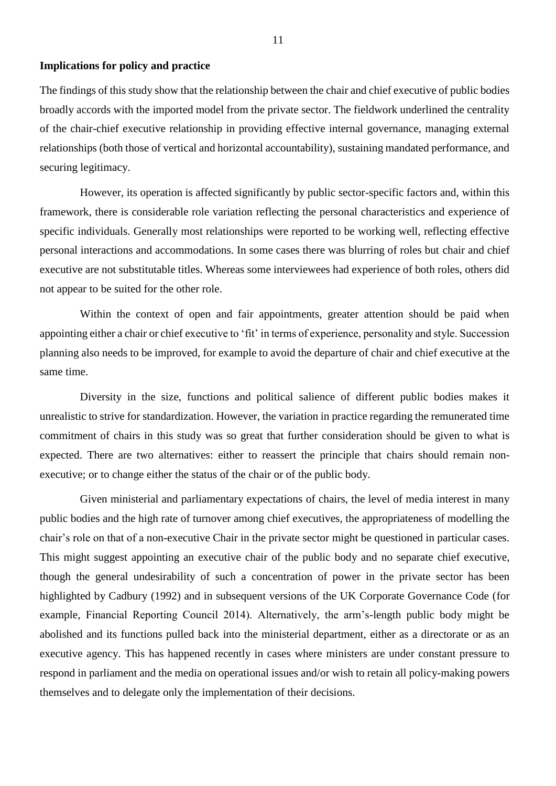## **Implications for policy and practice**

The findings of this study show that the relationship between the chair and chief executive of public bodies broadly accords with the imported model from the private sector. The fieldwork underlined the centrality of the chair-chief executive relationship in providing effective internal governance, managing external relationships (both those of vertical and horizontal accountability), sustaining mandated performance, and securing legitimacy.

However, its operation is affected significantly by public sector-specific factors and, within this framework, there is considerable role variation reflecting the personal characteristics and experience of specific individuals. Generally most relationships were reported to be working well, reflecting effective personal interactions and accommodations. In some cases there was blurring of roles but chair and chief executive are not substitutable titles. Whereas some interviewees had experience of both roles, others did not appear to be suited for the other role.

Within the context of open and fair appointments, greater attention should be paid when appointing either a chair or chief executive to 'fit' in terms of experience, personality and style. Succession planning also needs to be improved, for example to avoid the departure of chair and chief executive at the same time.

Diversity in the size, functions and political salience of different public bodies makes it unrealistic to strive for standardization. However, the variation in practice regarding the remunerated time commitment of chairs in this study was so great that further consideration should be given to what is expected. There are two alternatives: either to reassert the principle that chairs should remain nonexecutive; or to change either the status of the chair or of the public body.

Given ministerial and parliamentary expectations of chairs, the level of media interest in many public bodies and the high rate of turnover among chief executives, the appropriateness of modelling the chair's role on that of a non-executive Chair in the private sector might be questioned in particular cases. This might suggest appointing an executive chair of the public body and no separate chief executive, though the general undesirability of such a concentration of power in the private sector has been highlighted by Cadbury (1992) and in subsequent versions of the UK Corporate Governance Code (for example, Financial Reporting Council 2014). Alternatively, the arm's-length public body might be abolished and its functions pulled back into the ministerial department, either as a directorate or as an executive agency. This has happened recently in cases where ministers are under constant pressure to respond in parliament and the media on operational issues and/or wish to retain all policy-making powers themselves and to delegate only the implementation of their decisions.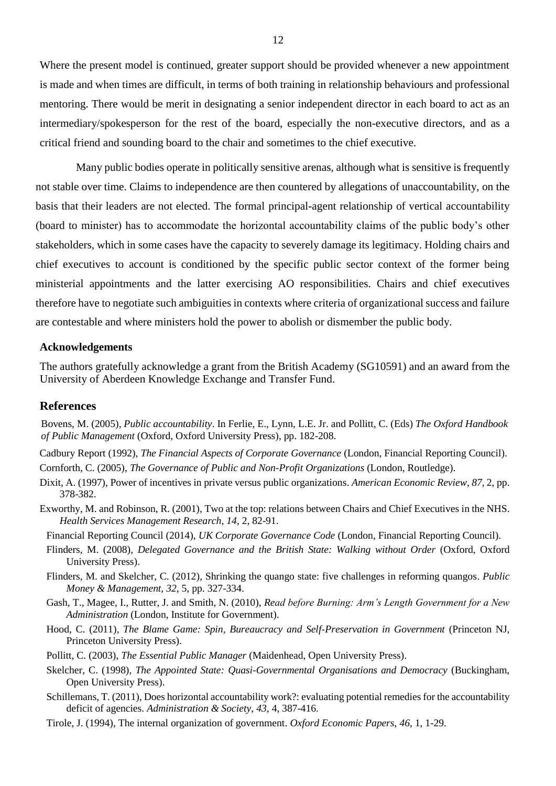Where the present model is continued, greater support should be provided whenever a new appointment is made and when times are difficult, in terms of both training in relationship behaviours and professional mentoring. There would be merit in designating a senior independent director in each board to act as an intermediary/spokesperson for the rest of the board, especially the non-executive directors, and as a critical friend and sounding board to the chair and sometimes to the chief executive.

Many public bodies operate in politically sensitive arenas, although what is sensitive is frequently not stable over time. Claims to independence are then countered by allegations of unaccountability, on the basis that their leaders are not elected. The formal principal-agent relationship of vertical accountability (board to minister) has to accommodate the horizontal accountability claims of the public body's other stakeholders, which in some cases have the capacity to severely damage its legitimacy. Holding chairs and chief executives to account is conditioned by the specific public sector context of the former being ministerial appointments and the latter exercising AO responsibilities. Chairs and chief executives therefore have to negotiate such ambiguities in contexts where criteria of organizational success and failure are contestable and where ministers hold the power to abolish or dismember the public body.

#### **Acknowledgements**

The authors gratefully acknowledge a grant from the British Academy (SG10591) and an award from the University of Aberdeen Knowledge Exchange and Transfer Fund.

#### **References**

Bovens, M. (2005), *Public accountability*. In Ferlie, E., Lynn, L.E. Jr. and Pollitt, C. (Eds) *The Oxford Handbook of Public Management* (Oxford, Oxford University Press), pp. 182-208.

Cadbury Report (1992), *The Financial Aspects of Corporate Governance* (London, Financial Reporting Council). Cornforth, C. (2005), *The Governance of Public and Non-Profit Organizations* (London, Routledge).

- Dixit, A. (1997), Power of incentives in private versus public organizations. *American Economic Review*, *87*, 2, pp. 378-382.
- Exworthy, M. and Robinson, R. (2001), Two at the top: relations between Chairs and Chief Executives in the NHS. *Health Services Management Research*, *14*, 2, 82-91.

Financial Reporting Council (2014), *UK Corporate Governance Code* (London, Financial Reporting Council).

- Flinders, M. (2008), *Delegated Governance and the British State: Walking without Order* (Oxford, Oxford University Press).
- Flinders, M. and Skelcher, C. (2012), Shrinking the quango state: five challenges in reforming quangos. *Public Money & Management*, *32*, 5, pp. 327-334.
- Gash, T., Magee, I., Rutter, J. and Smith, N. (2010), *Read before Burning: Arm's Length Government for a New Administration* (London, Institute for Government).
- Hood, C. (2011), *The Blame Game: Spin, Bureaucracy and Self-Preservation in Government* (Princeton NJ, Princeton University Press).
- Pollitt, C. (2003), *The Essential Public Manager* (Maidenhead, Open University Press).
- Skelcher, C. (1998), *The Appointed State: Quasi-Governmental Organisations and Democracy* (Buckingham, Open University Press).
- Schillemans, T. (2011), Does horizontal accountability work?: evaluating potential remedies for the accountability deficit of agencies. *Administration & Society*, *43*, 4, 387-416.
- Tirole, J. (1994), The internal organization of government. *Oxford Economic Papers*, *46*, 1, 1-29.